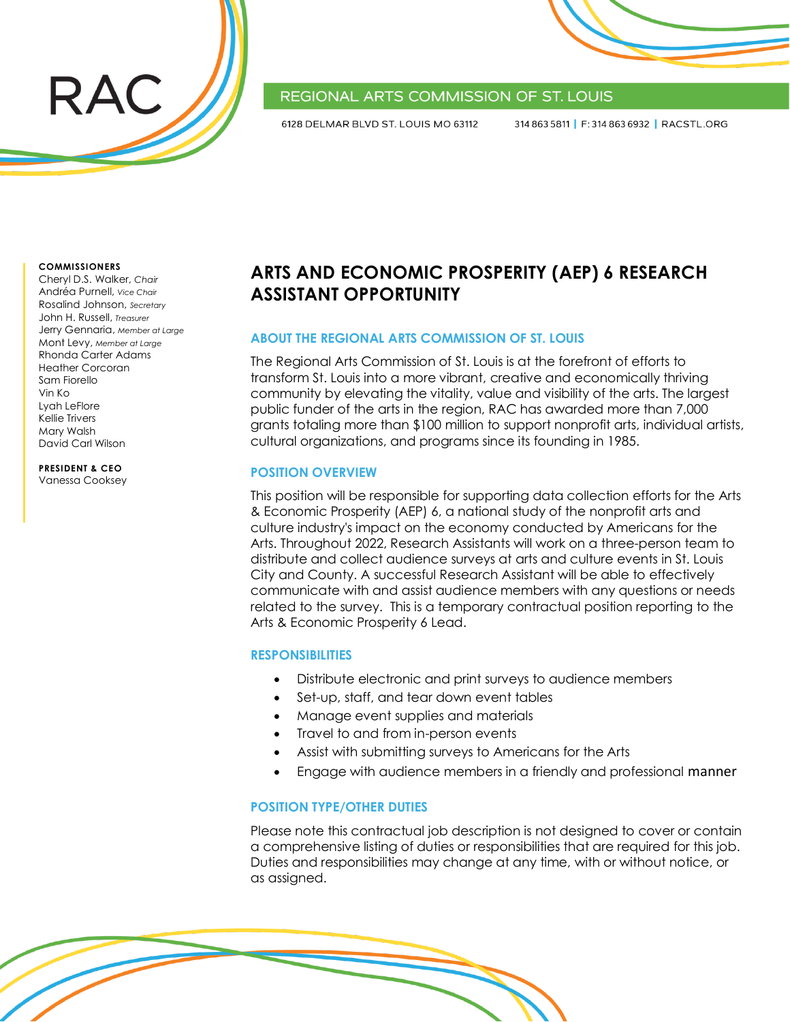

## REGIONAL ARTS COMMISSION OF ST. LOUIS

6128 DELMAR BLVD ST. LOUIS MO 63112

314 863 5811 | F: 314 863 6932 | RACSTL.ORG

#### **COMMISSIONERS**

Cheryl D.S. Walker, *Chair* Andréa Purnell, *Vice Chair* Rosalind Johnson, *Secretary* John H. Russell, *Treasurer* Jerry Gennaria, *Member at Large* Mont Levy, *Member at Large* Rhonda Carter Adams Heather Corcoran Sam Fiorello Vin Ko Lyah LeFlore Kellie Trivers Mary Walsh David Carl Wilson

**PRESIDENT & CEO**

Vanessa Cooksey

# **ARTS AND ECONOMIC PROSPERITY (AEP) 6 RESEARCH ASSISTANT OPPORTUNITY**

#### **ABOUT THE REGIONAL ARTS COMMISSION OF ST. LOUIS**

The Regional Arts Commission of St. Louis is at the forefront of efforts to transform St. Louis into a more vibrant, creative and economically thriving community by elevating the vitality, value and visibility of the arts. The largest public funder of the arts in the region, RAC has awarded more than 7,000 grants totaling more than \$100 million to support nonprofit arts, individual artists, cultural organizations, and programs since its founding in 1985.

#### **POSITION OVERVIEW**

This position will be responsible for supporting data collection efforts for the Arts & Economic Prosperity (AEP) 6, a national study of the nonprofit arts and culture industry's impact on the economy conducted by Americans for the Arts. Throughout 2022, Research Assistants will work on a three-person team to distribute and collect audience surveys at arts and culture events in St. Louis City and County. A successful Research Assistant will be able to effectively communicate with and assist audience members with any questions or needs related to the survey. This is a temporary contractual position reporting to the Arts & Economic Prosperity 6 Lead.

#### **RESPONSIBILITIES**

- Distribute electronic and print surveys to audience members
- Set-up, staff, and tear down event tables
- Manage event supplies and materials
- Travel to and from in-person events
- Assist with submitting surveys to Americans for the Arts
- Engage with audience members in a friendly and professional manner

#### **POSITION TYPE/OTHER DUTIES**

Please note this contractual job description is not designed to cover or contain a comprehensive listing of duties or responsibilities that are required for this job. Duties and responsibilities may change at any time, with or without notice, or as assigned.